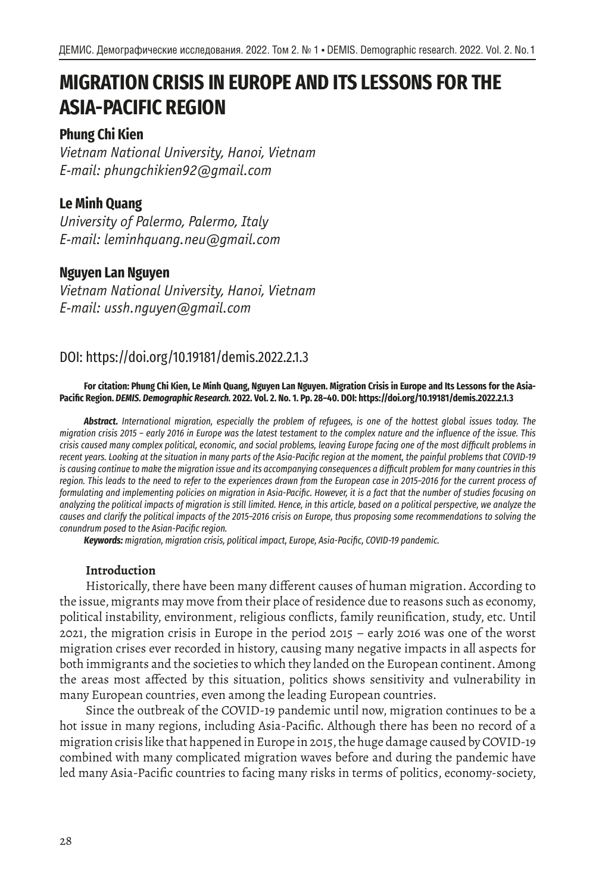# **MIGRATION CRISIS IN EUROPE AND ITS LESSONS FOR THE ASIA-PACIFIC REGION**

## **Phung Chi Kien**

*Vietnam National University, Hanoi, Vietnam E-mail: phungchikien92@gmail.com*

## **Le Minh Quang**

*University of Palermo, Palermo, Italy E-mail: leminhquang.neu@gmail.com*

## **Nguyen Lan Nguyen**

*Vietnam National University, Hanoi, Vietnam E-mail: ussh.nguyen@gmail.com*

# DOI: https://doi.org/10.19181/demis.2022.2.1.3

**For citation: Phung Chi Kien, Le Minh Quang, Nguyen Lan Nguyen. Migration Crisis in Europe and Its Lessons for the Asia-Pacific Region.** *DEMIS. Demographic Research.* **2022. Vol. 2. No. 1. Pp. 28–40. DOI: https://doi.org/10.19181/demis.2022.2.1.3**

*Abstract. International migration, especially the problem of refugees, is one of the hottest global issues today. The migration crisis 2015 – early 2016 in Europe was the latest testament to the complex nature and the influence of the issue. This crisis caused many complex political, economic, and social problems, leaving Europe facing one of the most difficult problems in recent years. Looking at the situation in many parts of the Asia-Pacific region at the moment, the painful problems that COVID-19 is causing continue to make the migration issue and its accompanying consequences a difficult problem for many countries in this region. This leads to the need to refer to the experiences drawn from the European case in 2015–2016 for the current process of formulating and implementing policies on migration in Asia-Pacific. However, it is a fact that the number of studies focusing on analyzing the political impacts of migration is still limited. Hence, in this article, based on a political perspective, we analyze the causes and clarify the political impacts of the 2015–2016 crisis on Europe, thus proposing some recommendations to solving the conundrum posed to the Asian-Pacific region.*

*Keywords: migration, migration crisis, political impact, Europe, Asia-Pacific, COVID-19 pandemic.*

## **Introduction**

Historically, there have been many different causes of human migration. According to the issue, migrants may move from their place of residence due to reasons such as economy, political instability, environment, religious conflicts, family reunification, study, etc. Until 2021, the migration crisis in Europe in the period 2015 – early 2016 was one of the worst migration crises ever recorded in history, causing many negative impacts in all aspects for both immigrants and the societies to which they landed on the European continent. Among the areas most affected by this situation, politics shows sensitivity and vulnerability in many European countries, even among the leading European countries.

Since the outbreak of the COVID-19 pandemic until now, migration continues to be a hot issue in many regions, including Asia-Pacific. Although there has been no record of a migration crisis like that happened in Europe in 2015, the huge damage caused by COVID-19 combined with many complicated migration waves before and during the pandemic have led many Asia-Pacific countries to facing many risks in terms of politics, economy-society,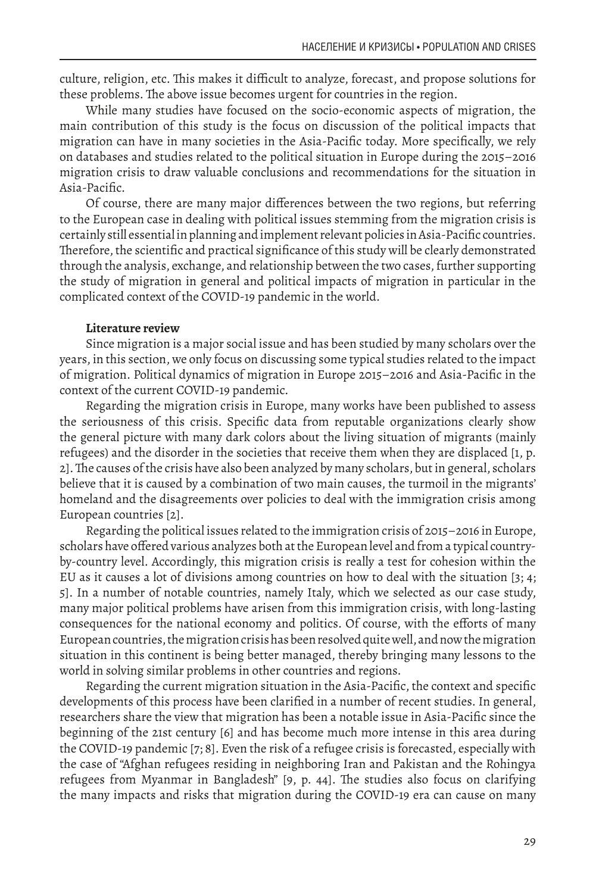culture, religion, etc. This makes it difficult to analyze, forecast, and propose solutions for these problems. The above issue becomes urgent for countries in the region.

While many studies have focused on the socio-economic aspects of migration, the main contribution of this study is the focus on discussion of the political impacts that migration can have in many societies in the Asia-Pacific today. More specifically, we rely on databases and studies related to the political situation in Europe during the 2015–2016 migration crisis to draw valuable conclusions and recommendations for the situation in Asia-Pacific.

Of course, there are many major differences between the two regions, but referring to the European case in dealing with political issues stemming from the migration crisis is certainly still essential in planning and implement relevant policies in Asia-Pacific countries. Therefore, the scientific and practical significance of this study will be clearly demonstrated through the analysis, exchange, and relationship between the two cases, further supporting the study of migration in general and political impacts of migration in particular in the complicated context of the COVID-19 pandemic in the world.

#### **Literature review**

Since migration is a major social issue and has been studied by many scholars over the years, in this section, we only focus on discussing some typical studies related to the impact of migration. Political dynamics of migration in Europe 2015–2016 and Asia-Pacific in the context of the current COVID-19 pandemic.

Regarding the migration crisis in Europe, many works have been published to assess the seriousness of this crisis. Specific data from reputable organizations clearly show the general picture with many dark colors about the living situation of migrants (mainly refugees) and the disorder in the societies that receive them when they are displaced [1, p. 2]. The causes of the crisis have also been analyzed by many scholars, but in general, scholars believe that it is caused by a combination of two main causes, the turmoil in the migrants' homeland and the disagreements over policies to deal with the immigration crisis among European countries [2].

Regarding the political issues related to the immigration crisis of 2015–2016 in Europe, scholars have offered various analyzes both at the European level and from a typical countryby-country level. Accordingly, this migration crisis is really a test for cohesion within the EU as it causes a lot of divisions among countries on how to deal with the situation [3; 4; 5]. In a number of notable countries, namely Italy, which we selected as our case study, many major political problems have arisen from this immigration crisis, with long-lasting consequences for the national economy and politics. Of course, with the efforts of many European countries, the migration crisis has been resolved quite well, and now the migration situation in this continent is being better managed, thereby bringing many lessons to the world in solving similar problems in other countries and regions.

Regarding the current migration situation in the Asia-Pacific, the context and specific developments of this process have been clarified in a number of recent studies. In general, researchers share the view that migration has been a notable issue in Asia-Pacific since the beginning of the 21st century [6] and has become much more intense in this area during the COVID-19 pandemic [7; 8]. Even the risk of a refugee crisis is forecasted, especially with the case of "Afghan refugees residing in neighboring Iran and Pakistan and the Rohingya refugees from Myanmar in Bangladesh" [9, p. 44]. The studies also focus on clarifying the many impacts and risks that migration during the COVID-19 era can cause on many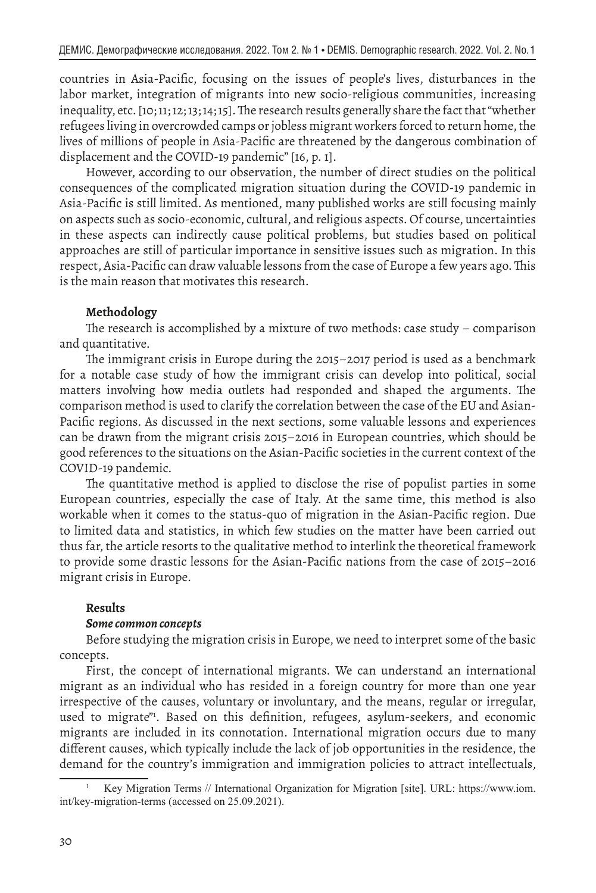countries in Asia-Pacific, focusing on the issues of people's lives, disturbances in the labor market, integration of migrants into new socio-religious communities, increasing inequality, etc. [10; 11; 12; 13; 14; 15]. The research results generally share the fact that "whether refugees living in overcrowded camps or jobless migrant workers forced to return home, the lives of millions of people in Asia-Pacific are threatened by the dangerous combination of displacement and the COVID-19 pandemic" [16, p. 1].

However, according to our observation, the number of direct studies on the political consequences of the complicated migration situation during the COVID-19 pandemic in Asia-Pacific is still limited. As mentioned, many published works are still focusing mainly on aspects such as socio-economic, cultural, and religious aspects. Of course, uncertainties in these aspects can indirectly cause political problems, but studies based on political approaches are still of particular importance in sensitive issues such as migration. In this respect, Asia-Pacific can draw valuable lessons from the case of Europe a few years ago. This is the main reason that motivates this research.

#### **Methodology**

The research is accomplished by a mixture of two methods: case study – comparison and quantitative.

The immigrant crisis in Europe during the 2015–2017 period is used as a benchmark for a notable case study of how the immigrant crisis can develop into political, social matters involving how media outlets had responded and shaped the arguments. The comparison method is used to clarify the correlation between the case of the EU and Asian-Pacific regions. As discussed in the next sections, some valuable lessons and experiences can be drawn from the migrant crisis 2015–2016 in European countries, which should be good references to the situations on the Asian-Pacific societies in the current context of the COVID-19 pandemic.

The quantitative method is applied to disclose the rise of populist parties in some European countries, especially the case of Italy. At the same time, this method is also workable when it comes to the status-quo of migration in the Asian-Pacific region. Due to limited data and statistics, in which few studies on the matter have been carried out thus far, the article resorts to the qualitative method to interlink the theoretical framework to provide some drastic lessons for the Asian-Pacific nations from the case of 2015–2016 migrant crisis in Europe.

#### **Results**

#### *Some common concepts*

Before studying the migration crisis in Europe, we need to interpret some of the basic concepts.

First, the concept of international migrants. We can understand an international migrant as an individual who has resided in a foreign country for more than one year irrespective of the causes, voluntary or involuntary, and the means, regular or irregular, used to migrate"1 . Based on this definition, refugees, asylum-seekers, and economic migrants are included in its connotation. International migration occurs due to many different causes, which typically include the lack of job opportunities in the residence, the demand for the country's immigration and immigration policies to attract intellectuals,

<sup>1</sup> Key Migration Terms // International Organization for Migration [site]. URL: https://www.iom. int/key-migration-terms (accessed on 25.09.2021).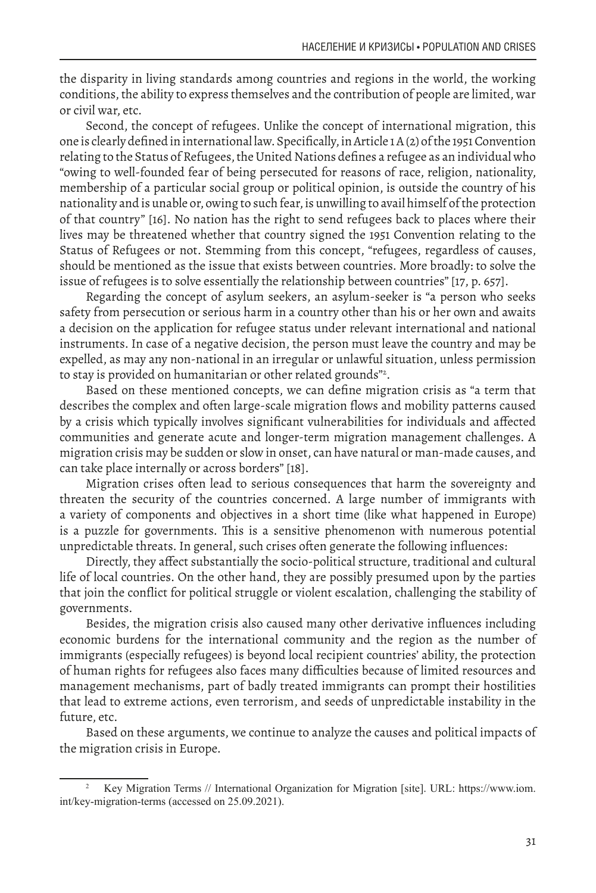the disparity in living standards among countries and regions in the world, the working conditions, the ability to express themselves and the contribution of people are limited, war or civil war, etc.

Second, the concept of refugees. Unlike the concept of international migration, this one is clearly defined in international law. Specifically, in Article 1 A (2) of the 1951 Convention relating to the Status of Refugees, the United Nations defines a refugee as an individual who "owing to well-founded fear of being persecuted for reasons of race, religion, nationality, membership of a particular social group or political opinion, is outside the country of his nationality and is unable or, owing to such fear, is unwilling to avail himself of the protection of that country" [16]. No nation has the right to send refugees back to places where their lives may be threatened whether that country signed the 1951 Convention relating to the Status of Refugees or not. Stemming from this concept, "refugees, regardless of causes, should be mentioned as the issue that exists between countries. More broadly: to solve the issue of refugees is to solve essentially the relationship between countries" [17, p. 657].

Regarding the concept of asylum seekers, an asylum-seeker is "a person who seeks safety from persecution or serious harm in a country other than his or her own and awaits a decision on the application for refugee status under relevant international and national instruments. In case of a negative decision, the person must leave the country and may be expelled, as may any non-national in an irregular or unlawful situation, unless permission to stay is provided on humanitarian or other related grounds"2 .

Based on these mentioned concepts, we can define migration crisis as "a term that describes the complex and often large-scale migration flows and mobility patterns caused by a crisis which typically involves significant vulnerabilities for individuals and affected communities and generate acute and longer-term migration management challenges. A migration crisis may be sudden or slow in onset, can have natural or man-made causes, and can take place internally or across borders" [18].

Migration crises often lead to serious consequences that harm the sovereignty and threaten the security of the countries concerned. A large number of immigrants with a variety of components and objectives in a short time (like what happened in Europe) is a puzzle for governments. This is a sensitive phenomenon with numerous potential unpredictable threats. In general, such crises often generate the following influences:

Directly, they affect substantially the socio-political structure, traditional and cultural life of local countries. On the other hand, they are possibly presumed upon by the parties that join the conflict for political struggle or violent escalation, challenging the stability of governments.

Besides, the migration crisis also caused many other derivative influences including economic burdens for the international community and the region as the number of immigrants (especially refugees) is beyond local recipient countries' ability, the protection of human rights for refugees also faces many difficulties because of limited resources and management mechanisms, part of badly treated immigrants can prompt their hostilities that lead to extreme actions, even terrorism, and seeds of unpredictable instability in the future, etc.

Based on these arguments, we continue to analyze the causes and political impacts of the migration crisis in Europe.

<sup>2</sup> Key Migration Terms // International Organization for Migration [site]. URL: https://www.iom. int/key-migration-terms (accessed on 25.09.2021).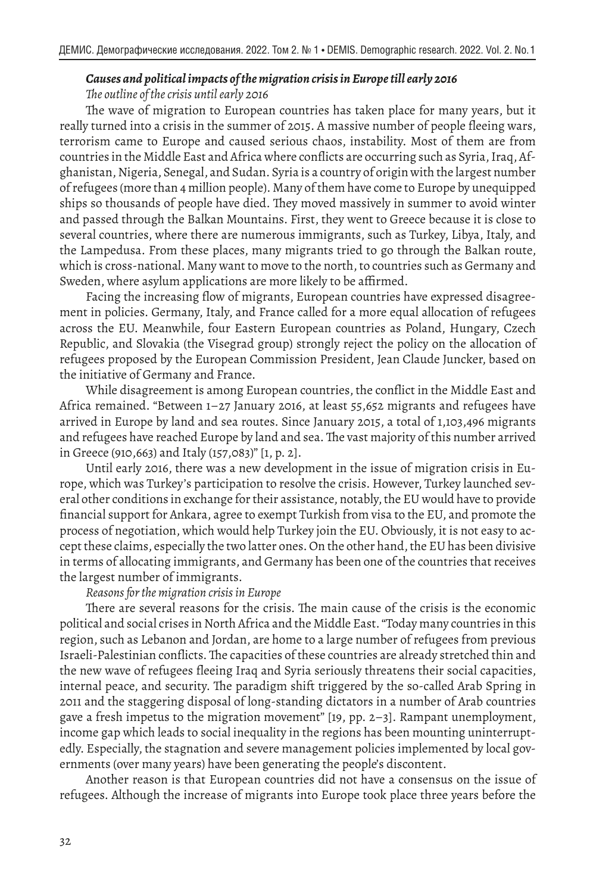#### *Causes and political impacts of the migration crisis in Europe till early 2016 The outline of the crisis until early 2016*

The wave of migration to European countries has taken place for many years, but it really turned into a crisis in the summer of 2015. A massive number of people fleeing wars, terrorism came to Europe and caused serious chaos, instability. Most of them are from countries in the Middle East and Africa where conflicts are occurring such as Syria, Iraq, Afghanistan, Nigeria, Senegal, and Sudan. Syria is a country of origin with the largest number of refugees (more than 4 million people). Many of them have come to Europe by unequipped ships so thousands of people have died. They moved massively in summer to avoid winter and passed through the Balkan Mountains. First, they went to Greece because it is close to several countries, where there are numerous immigrants, such as Turkey, Libya, Italy, and the Lampedusa. From these places, many migrants tried to go through the Balkan route, which is cross-national. Many want to move to the north, to countries such as Germany and Sweden, where asylum applications are more likely to be affirmed.

Facing the increasing flow of migrants, European countries have expressed disagreement in policies. Germany, Italy, and France called for a more equal allocation of refugees across the EU. Meanwhile, four Eastern European countries as Poland, Hungary, Czech Republic, and Slovakia (the Visegrad group) strongly reject the policy on the allocation of refugees proposed by the European Commission President, Jean Claude Juncker, based on the initiative of Germany and France.

While disagreement is among European countries, the conflict in the Middle East and Africa remained. "Between 1–27 January 2016, at least 55,652 migrants and refugees have arrived in Europe by land and sea routes. Since January 2015, a total of 1,103,496 migrants and refugees have reached Europe by land and sea. The vast majority of this number arrived in Greece (910,663) and Italy (157,083)" [1, p. 2].

Until early 2016, there was a new development in the issue of migration crisis in Europe, which was Turkey's participation to resolve the crisis. However, Turkey launched several other conditions in exchange for their assistance, notably, the EU would have to provide financial support for Ankara, agree to exempt Turkish from visa to the EU, and promote the process of negotiation, which would help Turkey join the EU. Obviously, it is not easy to accept these claims, especially the two latter ones. On the other hand, the EU has been divisive in terms of allocating immigrants, and Germany has been one of the countries that receives the largest number of immigrants.

*Reasons for the migration crisis in Europe*

There are several reasons for the crisis. The main cause of the crisis is the economic political and social crises in North Africa and the Middle East. "Today many countries in this region, such as Lebanon and Jordan, are home to a large number of refugees from previous Israeli-Palestinian conflicts. The capacities of these countries are already stretched thin and the new wave of refugees fleeing Iraq and Syria seriously threatens their social capacities, internal peace, and security. The paradigm shift triggered by the so-called Arab Spring in 2011 and the staggering disposal of long-standing dictators in a number of Arab countries gave a fresh impetus to the migration movement" [19, pp. 2–3]. Rampant unemployment, income gap which leads to social inequality in the regions has been mounting uninterruptedly. Especially, the stagnation and severe management policies implemented by local governments (over many years) have been generating the people's discontent.

Another reason is that European countries did not have a consensus on the issue of refugees. Although the increase of migrants into Europe took place three years before the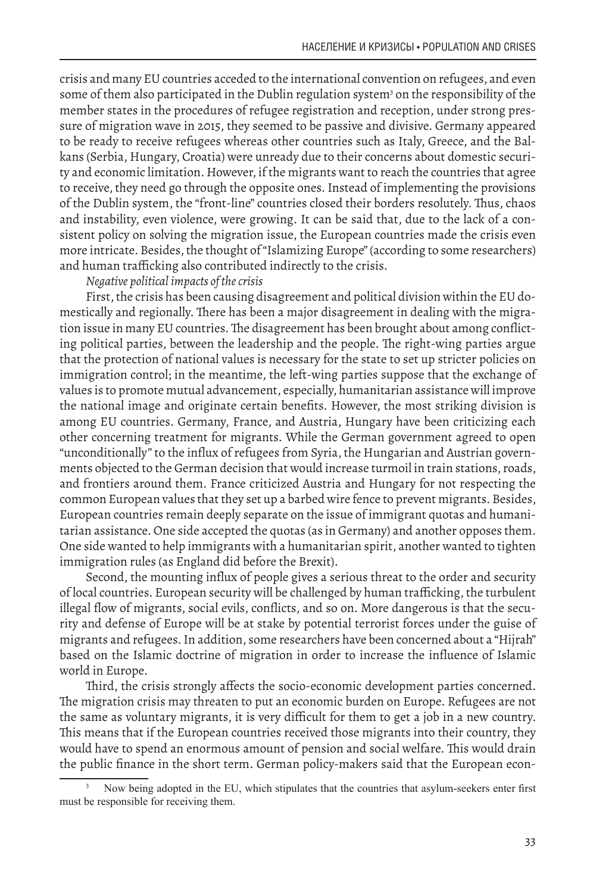crisis and many EU countries acceded to the international convention on refugees, and even some of them also participated in the Dublin regulation system<sup>3</sup> on the responsibility of the member states in the procedures of refugee registration and reception, under strong pressure of migration wave in 2015, they seemed to be passive and divisive. Germany appeared to be ready to receive refugees whereas other countries such as Italy, Greece, and the Balkans (Serbia, Hungary, Croatia) were unready due to their concerns about domestic security and economic limitation. However, if the migrants want to reach the countries that agree to receive, they need go through the opposite ones. Instead of implementing the provisions of the Dublin system, the "front-line" countries closed their borders resolutely. Thus, chaos and instability, even violence, were growing. It can be said that, due to the lack of a consistent policy on solving the migration issue, the European countries made the crisis even more intricate. Besides, the thought of "Islamizing Europe" (according to some researchers) and human trafficking also contributed indirectly to the crisis.

#### *Negative political impacts of the crisis*

First, the crisis has been causing disagreement and political division within the EU domestically and regionally. There has been a major disagreement in dealing with the migration issue in many EU countries. The disagreement has been brought about among conflicting political parties, between the leadership and the people. The right-wing parties argue that the protection of national values is necessary for the state to set up stricter policies on immigration control; in the meantime, the left-wing parties suppose that the exchange of values is to promote mutual advancement, especially, humanitarian assistance will improve the national image and originate certain benefits. However, the most striking division is among EU countries. Germany, France, and Austria, Hungary have been criticizing each other concerning treatment for migrants. While the German government agreed to open "unconditionally" to the influx of refugees from Syria, the Hungarian and Austrian governments objected to the German decision that would increase turmoil in train stations, roads, and frontiers around them. France criticized Austria and Hungary for not respecting the common European values that they set up a barbed wire fence to prevent migrants. Besides, European countries remain deeply separate on the issue of immigrant quotas and humanitarian assistance. One side accepted the quotas (as in Germany) and another opposes them. One side wanted to help immigrants with a humanitarian spirit, another wanted to tighten immigration rules (as England did before the Brexit).

Second, the mounting influx of people gives a serious threat to the order and security of local countries. European security will be challenged by human trafficking, the turbulent illegal flow of migrants, social evils, conflicts, and so on. More dangerous is that the security and defense of Europe will be at stake by potential terrorist forces under the guise of migrants and refugees. In addition, some researchers have been concerned about a "Hijrah" based on the Islamic doctrine of migration in order to increase the influence of Islamic world in Europe.

Third, the crisis strongly affects the socio-economic development parties concerned. The migration crisis may threaten to put an economic burden on Europe. Refugees are not the same as voluntary migrants, it is very difficult for them to get a job in a new country. This means that if the European countries received those migrants into their country, they would have to spend an enormous amount of pension and social welfare. This would drain the public finance in the short term. German policy-makers said that the European econ-

Now being adopted in the EU, which stipulates that the countries that asylum-seekers enter first must be responsible for receiving them.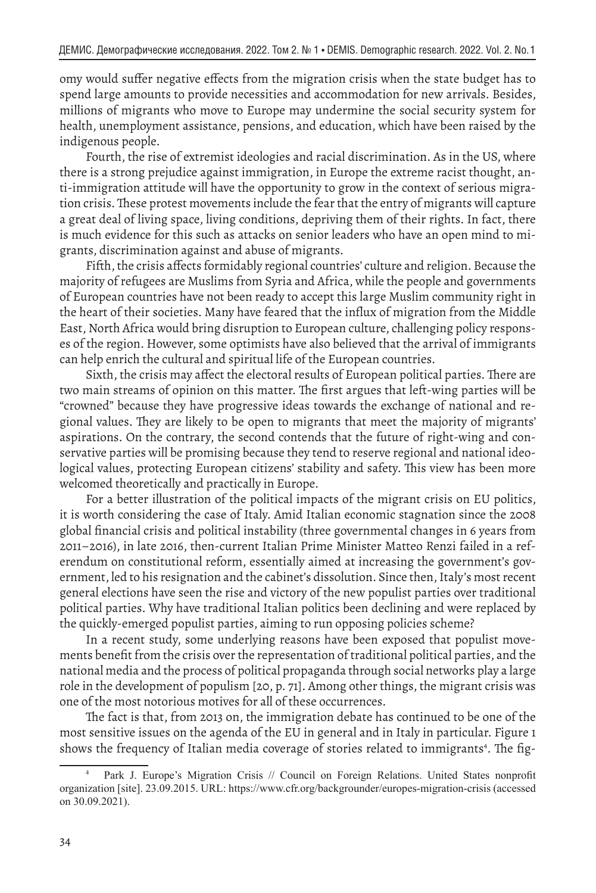omy would suffer negative effects from the migration crisis when the state budget has to spend large amounts to provide necessities and accommodation for new arrivals. Besides, millions of migrants who move to Europe may undermine the social security system for health, unemployment assistance, pensions, and education, which have been raised by the indigenous people.

Fourth, the rise of extremist ideologies and racial discrimination. As in the US, where there is a strong prejudice against immigration, in Europe the extreme racist thought, anti-immigration attitude will have the opportunity to grow in the context of serious migration crisis. These protest movements include the fear that the entry of migrants will capture a great deal of living space, living conditions, depriving them of their rights. In fact, there is much evidence for this such as attacks on senior leaders who have an open mind to migrants, discrimination against and abuse of migrants.

Fifth, the crisis affects formidably regional countries' culture and religion. Because the majority of refugees are Muslims from Syria and Africa, while the people and governments of European countries have not been ready to accept this large Muslim community right in the heart of their societies. Many have feared that the influx of migration from the Middle East, North Africa would bring disruption to European culture, challenging policy responses of the region. However, some optimists have also believed that the arrival of immigrants can help enrich the cultural and spiritual life of the European countries.

Sixth, the crisis may affect the electoral results of European political parties. There are two main streams of opinion on this matter. The first argues that left-wing parties will be "crowned" because they have progressive ideas towards the exchange of national and regional values. They are likely to be open to migrants that meet the majority of migrants' aspirations. On the contrary, the second contends that the future of right-wing and conservative parties will be promising because they tend to reserve regional and national ideological values, protecting European citizens' stability and safety. This view has been more welcomed theoretically and practically in Europe.

For a better illustration of the political impacts of the migrant crisis on EU politics, it is worth considering the case of Italy. Amid Italian economic stagnation since the 2008 global financial crisis and political instability (three governmental changes in 6 years from 2011–2016), in late 2016, then-current Italian Prime Minister Matteo Renzi failed in a referendum on constitutional reform, essentially aimed at increasing the government's government, led to his resignation and the cabinet's dissolution. Since then, Italy's most recent general elections have seen the rise and victory of the new populist parties over traditional political parties. Why have traditional Italian politics been declining and were replaced by the quickly-emerged populist parties, aiming to run opposing policies scheme?

In a recent study, some underlying reasons have been exposed that populist movements benefit from the crisis over the representation of traditional political parties, and the national media and the process of political propaganda through social networks play a large role in the development of populism [20, p. 71]. Among other things, the migrant crisis was one of the most notorious motives for all of these occurrences.

The fact is that, from 2013 on, the immigration debate has continued to be one of the most sensitive issues on the agenda of the EU in general and in Italy in particular. Figure 1 shows the frequency of Italian media coverage of stories related to immigrants<sup>4</sup>. The fig-

Park J. Europe's Migration Crisis // Council on Foreign Relations. United States nonprofit organization [site]. 23.09.2015. URL: https://www.cfr.org/backgrounder/europes-migration-crisis (accessed on 30.09.2021).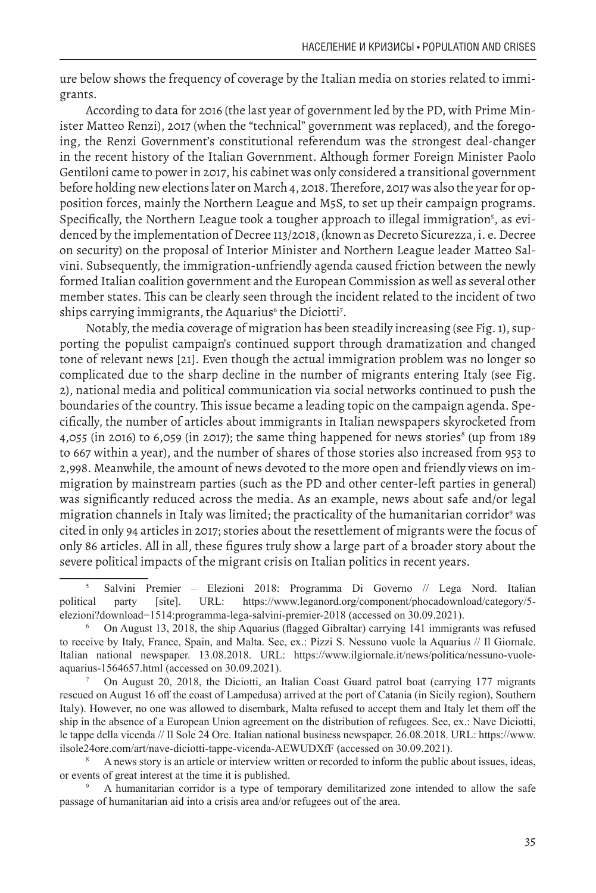ure below shows the frequency of coverage by the Italian media on stories related to immigrants.

According to data for 2016 (the last year of government led by the PD, with Prime Minister Matteo Renzi), 2017 (when the "technical" government was replaced), and the foregoing, the Renzi Government's constitutional referendum was the strongest deal-changer in the recent history of the Italian Government. Although former Foreign Minister Paolo Gentiloni came to power in 2017, his cabinet was only considered a transitional government before holding new elections later on March 4, 2018. Therefore, 2017 was also the year for opposition forces, mainly the Northern League and M5S, to set up their campaign programs. Specifically, the Northern League took a tougher approach to illegal immigration<sup>5</sup>, as evidenced by the implementation of Decree 113/2018, (known as Decreto Sicurezza, i. e. Decree on security) on the proposal of Interior Minister and Northern League leader Matteo Salvini. Subsequently, the immigration-unfriendly agenda caused friction between the newly formed Italian coalition government and the European Commission as well as several other member states. This can be clearly seen through the incident related to the incident of two ships carrying immigrants, the Aquarius<sup>6</sup> the Diciotti<sup>7</sup>.

Notably, the media coverage of migration has been steadily increasing (see Fig. 1), supporting the populist campaign's continued support through dramatization and changed tone of relevant news [21]. Even though the actual immigration problem was no longer so complicated due to the sharp decline in the number of migrants entering Italy (see Fig. 2), national media and political communication via social networks continued to push the boundaries of the country. This issue became a leading topic on the campaign agenda. Specifically, the number of articles about immigrants in Italian newspapers skyrocketed from 4,055 (in 2016) to 6,059 (in 2017); the same thing happened for news stories $^8$  (up from 189 to 667 within a year), and the number of shares of those stories also increased from 953 to 2,998. Meanwhile, the amount of news devoted to the more open and friendly views on immigration by mainstream parties (such as the PD and other center-left parties in general) was significantly reduced across the media. As an example, news about safe and/or legal migration channels in Italy was limited; the practicality of the humanitarian corridor<sup>9</sup> was cited in only 94 articles in 2017; stories about the resettlement of migrants were the focus of only 86 articles. All in all, these figures truly show a large part of a broader story about the severe political impacts of the migrant crisis on Italian politics in recent years.

<sup>8</sup> A news story is an article or interview written or recorded to inform the public about issues, ideas, or events of great interest at the time it is published.

<sup>9</sup> A humanitarian corridor is a type of temporary demilitarized zone intended to allow the safe passage of humanitarian aid into a crisis area and/or refugees out of the area.

<sup>5</sup> Salvini Premier ‒ Elezioni 2018: Programma Di Governo // Lega Nord. Italian political party [site]. URL: https://www.leganord.org/component/phocadownload/category/5 elezioni?download=1514:programma-lega-salvini-premier-2018 (accessed on 30.09.2021).

<sup>6</sup> On August 13, 2018, the ship Aquarius (flagged Gibraltar) carrying 141 immigrants was refused to receive by Italy, France, Spain, and Malta. See, ex.: Pizzi S. Nessuno vuole la Aquarius // Il Giornale. Italian national newspaper. 13.08.2018. URL: https://www.ilgiornale.it/news/politica/nessuno-vuoleaquarius-1564657.html (accessed on 30.09.2021).

<sup>7</sup> On August 20, 2018, the Diciotti, an Italian Coast Guard patrol boat (carrying 177 migrants rescued on August 16 off the coast of Lampedusa) arrived at the port of Catania (in Sicily region), Southern Italy). However, no one was allowed to disembark, Malta refused to accept them and Italy let them off the ship in the absence of a European Union agreement on the distribution of refugees. See, ex.: Nave Diciotti, le tappe della vicenda // Il Sole 24 Ore. Italian national business newspaper. 26.08.2018. URL: https://www. ilsole24ore.com/art/nave-diciotti-tappe-vicenda-AEWUDXfF (accessed on 30.09.2021).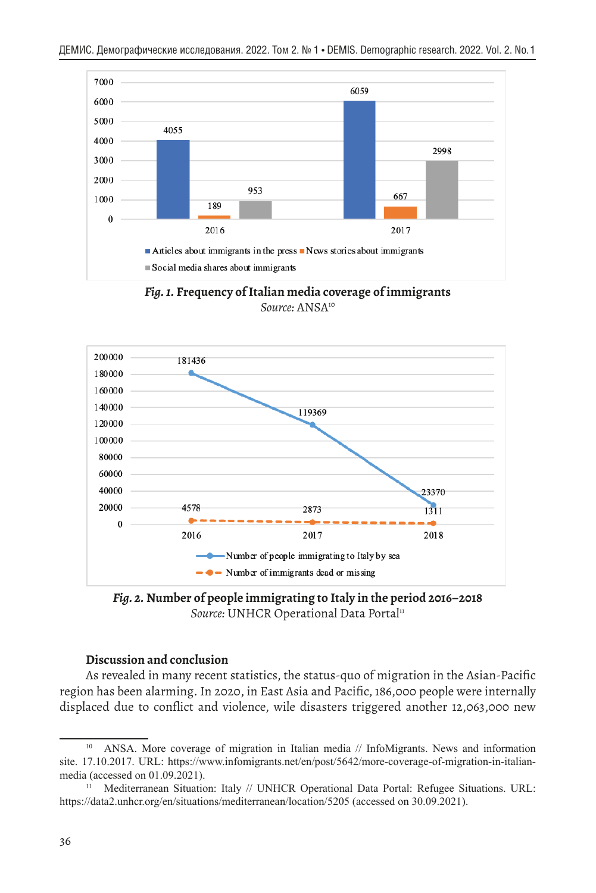

*Fig. 1.* **Frequency of Italian media coverage of immigrants**  *Source:* ANSA10



*Fig. 2.* **Number of people immigrating to Italy in the period 2016–2018**  *Source:* UNHCR Operational Data Portal<sup>11</sup>

#### **Discussion and conclusion**

As revealed in many recent statistics, the status-quo of migration in the Asian-Pacific region has been alarming. In 2020, in East Asia and Pacific, 186,000 people were internally displaced due to conflict and violence, wile disasters triggered another 12,063,000 new

<sup>10</sup> ANSA. More coverage of migration in Italian media // InfoMigrants. News and information site. 17.10.2017. URL: https://www.infomigrants.net/en/post/5642/more-coverage-of-migration-in-italianmedia (accessed on 01.09.2021).

<sup>&</sup>lt;sup>11</sup> Mediterranean Situation: Italy // UNHCR Operational Data Portal: Refugee Situations. URL: https://data2.unhcr.org/en/situations/mediterranean/location/5205 (accessed on 30.09.2021).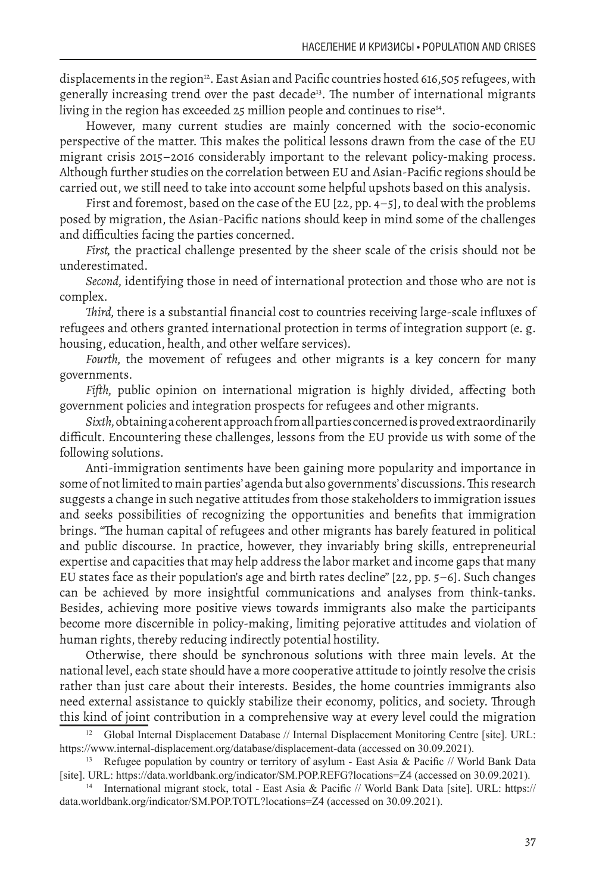displacements in the region<sup>12</sup>. East Asian and Pacific countries hosted 616,505 refugees, with generally increasing trend over the past decade<sup>13</sup>. The number of international migrants living in the region has exceeded 25 million people and continues to rise<sup>14</sup>.

However, many current studies are mainly concerned with the socio-economic perspective of the matter. This makes the political lessons drawn from the case of the EU migrant crisis 2015–2016 considerably important to the relevant policy-making process. Although further studies on the correlation between EU and Asian-Pacific regions should be carried out, we still need to take into account some helpful upshots based on this analysis.

First and foremost, based on the case of the EU [22, pp. 4–5], to deal with the problems posed by migration, the Asian-Pacific nations should keep in mind some of the challenges and difficulties facing the parties concerned.

*First,* the practical challenge presented by the sheer scale of the crisis should not be underestimated.

*Second,* identifying those in need of international protection and those who are not is complex.

*Third,* there is a substantial financial cost to countries receiving large-scale influxes of refugees and others granted international protection in terms of integration support (e. g. housing, education, health, and other welfare services).

*Fourth,* the movement of refugees and other migrants is a key concern for many governments.

*Fifth,* public opinion on international migration is highly divided, affecting both government policies and integration prospects for refugees and other migrants.

*Sixth,* obtaining a coherent approach from all parties concerned is proved extraordinarily difficult. Encountering these challenges, lessons from the EU provide us with some of the following solutions.

Anti-immigration sentiments have been gaining more popularity and importance in some of not limited to main parties' agenda but also governments' discussions. This research suggests a change in such negative attitudes from those stakeholders to immigration issues and seeks possibilities of recognizing the opportunities and benefits that immigration brings. "The human capital of refugees and other migrants has barely featured in political and public discourse. In practice, however, they invariably bring skills, entrepreneurial expertise and capacities that may help address the labor market and income gaps that many EU states face as their population's age and birth rates decline" [22, pp. 5–6]. Such changes can be achieved by more insightful communications and analyses from think-tanks. Besides, achieving more positive views towards immigrants also make the participants become more discernible in policy-making, limiting pejorative attitudes and violation of human rights, thereby reducing indirectly potential hostility.

Otherwise, there should be synchronous solutions with three main levels. At the national level, each state should have a more cooperative attitude to jointly resolve the crisis rather than just care about their interests. Besides, the home countries immigrants also need external assistance to quickly stabilize their economy, politics, and society. Through this kind of joint contribution in a comprehensive way at every level could the migration

<sup>&</sup>lt;sup>12</sup> Global Internal Displacement Database // Internal Displacement Monitoring Centre [site]. URL: https://www.internal-displacement.org/database/displacement-data (accessed on 30.09.2021).

<sup>&</sup>lt;sup>13</sup> Refugee population by country or territory of asylum - East Asia & Pacific // World Bank Data [site]. URL: https://data.worldbank.org/indicator/SM.POP.REFG?locations=Z4 (accessed on 30.09.2021).

<sup>14</sup> International migrant stock, total - East Asia & Pacific // World Bank Data [site]. URL: https:// data.worldbank.org/indicator/SM.POP.TOTL?locations=Z4 (accessed on 30.09.2021).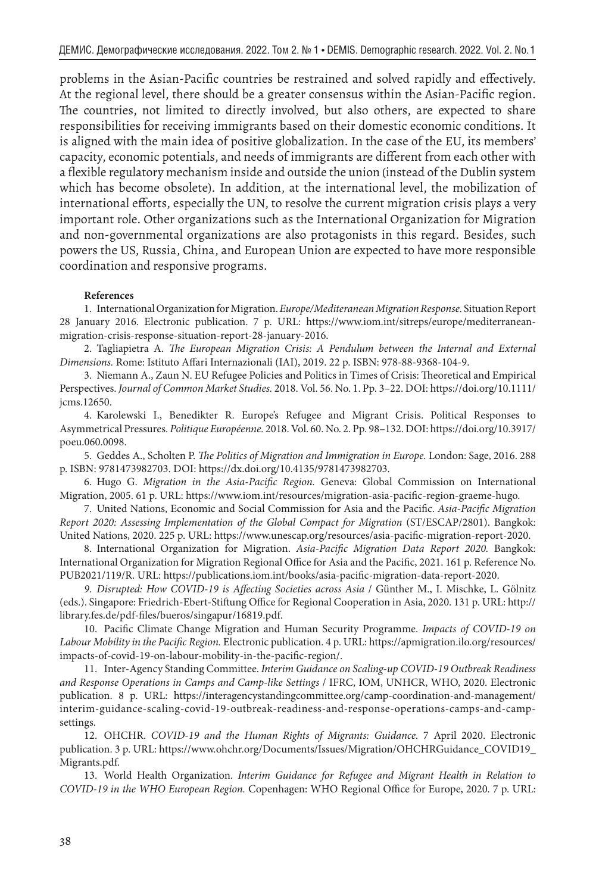problems in the Asian-Pacific countries be restrained and solved rapidly and effectively. At the regional level, there should be a greater consensus within the Asian-Pacific region. The countries, not limited to directly involved, but also others, are expected to share responsibilities for receiving immigrants based on their domestic economic conditions. It is aligned with the main idea of positive globalization. In the case of the EU, its members' capacity, economic potentials, and needs of immigrants are different from each other with a flexible regulatory mechanism inside and outside the union (instead of the Dublin system which has become obsolete). In addition, at the international level, the mobilization of international efforts, especially the UN, to resolve the current migration crisis plays a very important role. Other organizations such as the International Organization for Migration and non-governmental organizations are also protagonists in this regard. Besides, such powers the US, Russia, China, and European Union are expected to have more responsible coordination and responsive programs.

#### **References**

1. International Organization for Migration. *Europe/Mediteranean Migration Response.* Situation Report 28 January 2016. Electronic publication. 7 p. URL: https://www.iom.int/sitreps/europe/mediterraneanmigration-crisis-response-situation-report-28-january-2016.

2. Tagliapietra A. *The European Migration Crisis: A Pendulum between the Internal and External Dimensions.* Rome: Istituto Affari Internazionali (IAI), 2019. 22 p. ISBN: 978-88-9368-104-9.

3. Niemann A., Zaun N. EU Refugee Policies and Politics in Times of Crisis: Theoretical and Empirical Perspectives. *Journal of Common Market Studies.* 2018. Vol. 56. No. 1. Pp. 3–22. DOI: https://doi.org/10.1111/ jcms.12650.

4. Karolewski I., Benedikter R. Europe's Refugee and Migrant Crisis. Political Responses to Asymmetrical Pressures. *Politique Européenne.* 2018. Vol. 60. No. 2. Pp. 98–132. DOI: https://doi.org/10.3917/ poeu.060.0098.

5. Geddes A., Scholten P. *The Politics of Migration and Immigration in Europe.* London: Sage, 2016. 288 p. ISBN: 9781473982703. DOI: https://dx.doi.org/10.4135/9781473982703.

6. Hugo G. *Migration in the Asia-Pacific Region.* Geneva: Global Commission on International Migration, 2005. 61 p. URL: https://www.iom.int/resources/migration-asia-pacific-region-graeme-hugo.

7. United Nations, Economic and Social Commission for Asia and the Pacific. *Asia-Pacific Migration Report 2020: Assessing Implementation of the Global Compact for Migration* (ST/ESCAP/2801). Bangkok: United Nations, 2020. 225 p. URL: https://www.unescap.org/resources/asia-pacific-migration-report-2020.

8. International Organization for Migration. *Asia-Pacific Migration Data Report 2020.* Bangkok: International Organization for Migration Regional Office for Asia and the Pacific, 2021. 161 p. Reference No. PUB2021/119/R. URL: https://publications.iom.int/books/asia-pacific-migration-data-report-2020.

*9. Disrupted: How COVID-19 is Affecting Societies across Asia* / Günther M., I. Mischke, L. Gölnitz (eds.). Singapore: Friedrich-Ebert-Stiftung Office for Regional Cooperation in Asia, 2020. 131 p. URL: http:// library.fes.de/pdf-files/bueros/singapur/16819.pdf.

10. Pacific Climate Change Migration and Human Security Programme. *Impacts of COVID-19 on Labour Mobility in the Pacific Region.* Electronic publication. 4 p. URL: https://apmigration.ilo.org/resources/ impacts-of-covid-19-on-labour-mobility-in-the-pacific-region/.

11. Inter-Agency Standing Committee. *Interim Guidance on Scaling-up COVID-19 Outbreak Readiness and Response Operations in Camps and Camp-like Settings* / IFRC, IOM, UNHCR, WHO, 2020. Electronic publication. 8 p. URL: https://interagencystandingcommittee.org/camp-coordination-and-management/ interim-guidance-scaling-covid-19-outbreak-readiness-and-response-operations-camps-and-campsettings.

12. OHCHR. *COVID-19 and the Human Rights of Migrants: Guidance.* 7 April 2020. Electronic publication. 3 p. URL: https://www.ohchr.org/Documents/Issues/Migration/OHCHRGuidance\_COVID19\_ Migrants.pdf.

13. World Health Organization. *Interim Guidance for Refugee and Migrant Health in Relation to COVID-19 in the WHO European Region.* Copenhagen: WHO Regional Office for Europe, 2020. 7 p. URL: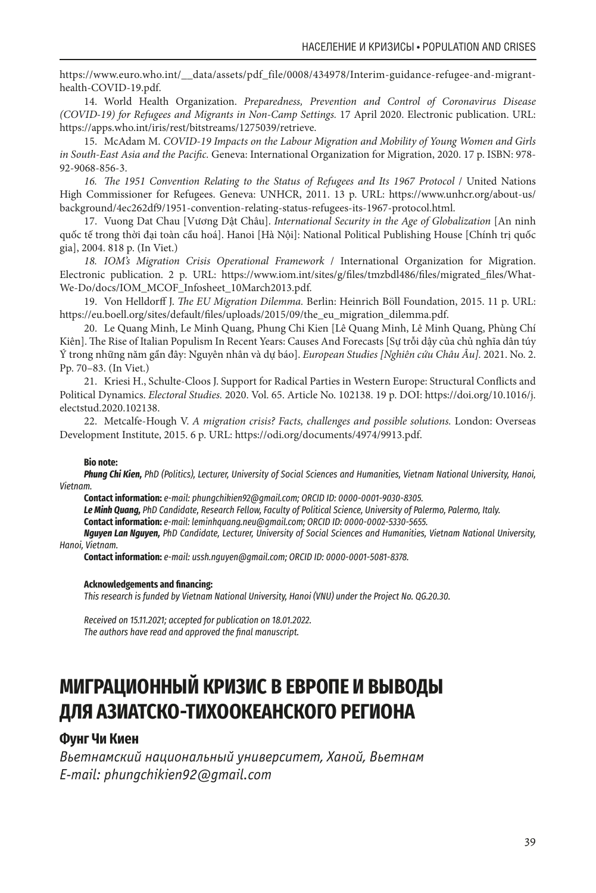https://www.euro.who.int/\_\_data/assets/pdf\_file/0008/434978/Interim-guidance-refugee-and-migranthealth-COVID-19.pdf.

14. World Health Organization. *Preparedness, Prevention and Control of Coronavirus Disease (COVID-19) for Refugees and Migrants in Non-Camp Settings.* 17 April 2020. Electronic publication. URL: https://apps.who.int/iris/rest/bitstreams/1275039/retrieve.

15. McAdam M. *COVID-19 Impacts on the Labour Migration and Mobility of Young Women and Girls in South-East Asia and the Pacific.* Geneva: International Organization for Migration, 2020. 17 p. ISBN: 978- 92-9068-856-3.

*16. The 1951 Convention Relating to the Status of Refugees and Its 1967 Protocol* / United Nations High Commissioner for Refugees. Geneva: UNHCR, 2011. 13 p. URL: https://www.unhcr.org/about-us/ background/4ec262df9/1951-convention-relating-status-refugees-its-1967-protocol.html.

17. Vuong Dat Chau [Vương Dật Châu]. *International Security in the Age of Globalization* [An ninh quốc tế trong thời đại toàn cầu hoá]. Hanoi [Hà Nội]: National Political Publishing House [Chính trị quốc gia], 2004. 818 p. (In Viet.)

*18. IOM's Migration Crisis Operational Framework* / International Organization for Migration. Electronic publication. 2 p. URL: https://www.iom.int/sites/g/files/tmzbdl486/files/migrated\_files/What-We-Do/docs/IOM\_MCOF\_Infosheet\_10March2013.pdf.

19. Von Helldorff J. *The EU Migration Dilemma.* Berlin: Heinrich Böll Foundation, 2015. 11 p. URL: https://eu.boell.org/sites/default/files/uploads/2015/09/the\_eu\_migration\_dilemma.pdf.

20. Le Quang Minh, Le Minh Quang, Phung Chi Kien [Lê Quang Minh, Lê Minh Quang, Phùng Chí Kiên]. The Rise of Italian Populism In Recent Years: Causes And Forecasts [Sự trỗi dậy của chủ nghĩa dân túy Ý trong những năm gần đây: Nguyên nhân và dự báo]. *European Studies [Nghiên cứu Châu Âu].* 2021. No. 2. Pp. 70–83. (In Viet.)

21. Kriesi H., Schulte-Cloos J. Support for Radical Parties in Western Europe: Structural Conflicts and Political Dynamics. *Electoral Studies.* 2020. Vol. 65. Article No. 102138. 19 p. DOI: https://doi.org/10.1016/j. electstud.2020.102138.

22. Metcalfe-Hough V. *A migration crisis? Facts, challenges and possible solutions.* London: Overseas Development Institute, 2015. 6 p. URL: https://odi.org/documents/4974/9913.pdf.

#### **Bio note:**

*Phung Chi Kien, PhD (Politics), Lecturer, University of Social Sciences and Humanities, Vietnam National University, Hanoi, Vietnam.*

**Contact information:** *e-mail: phungchikien92@gmail.com; ORCID ID: 0000-0001-9030-8305.*

*Le Minh Quang, PhD Candidate, Research Fellow, Faculty of Political Science, University of Palermo, Palermo, Italy.*

**Contact information:** *e-mail: leminhquang.neu@gmail.com; ORCID ID: 0000-0002-5330-5655.*

*Nguyen Lan Nguyen, PhD Candidate, Lecturer, University of Social Sciences and Humanities, Vietnam National University, Hanoi, Vietnam.*

**Contact information:** *e-mail: ussh.nguyen@gmail.com; ORCID ID: 0000-0001-5081-8378.*

#### **Acknowledgements and financing:**

*This research is funded by Vietnam National University, Hanoi (VNU) under the Project No. QG.20.30.*

*Received on 15.11.2021; accepted for publication on 18.01.2022. The authors have read and approved the final manuscript.*

# **МИГРАЦИОННЫЙ КРИЗИС В ЕВРОПЕ И ВЫВОДЫ ДЛЯ АЗИАТСКО-ТИХООКЕАНСКОГО РЕГИОНА**

## **Фунг Чи Киен**

*Вьетнамский национальный университет, Ханой, Вьетнам E-mail: phungchikien92@gmail.com*